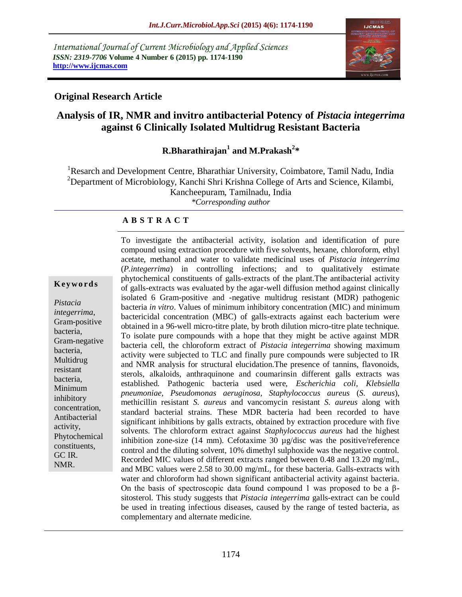*International Journal of Current Microbiology and Applied Sciences ISSN: 2319-7706* **Volume 4 Number 6 (2015) pp. 1174-1190 http://www.ijcmas.com** 



# **Original Research Article**

# **Analysis of IR, NMR and invitro antibacterial Potency of** *Pistacia integerrima* **against 6 Clinically Isolated Multidrug Resistant Bacteria**

# $R$ .Bharathirajan<sup>1</sup> and M.Prakash<sup>2</sup>\*

<sup>1</sup>Resarch and Development Centre, Bharathiar University, Coimbatore, Tamil Nadu, India <sup>2</sup>Department of Microbiology, Kanchi Shri Krishna College of Arts and Science, Kilambi, Kancheepuram, Tamilnadu, India *\*Corresponding author*

#### **A B S T R A C T**

#### **K ey w o rd s**

*Pistacia integerrima*, Gram-positive bacteria, Gram-negative bacteria, Multidrug resistant bacteria, Minimum inhibitory concentration, Antibacterial activity, Phytochemical constituents, GC IR. NMR.

To investigate the antibacterial activity, isolation and identification of pure compound using extraction procedure with five solvents, hexane, chloroform, ethyl acetate, methanol and water to validate medicinal uses of *Pistacia integerrima* (*P.integerrima*) in controlling infections; and to qualitatively estimate phytochemical constituents of galls-extracts of the plant.The antibacterial activity of galls-extracts was evaluated by the agar-well diffusion method against clinically isolated 6 Gram-positive and -negative multidrug resistant (MDR) pathogenic bacteria *in vitro*. Values of minimum inhibitory concentration (MIC) and minimum bactericidal concentration (MBC) of galls-extracts against each bacterium were obtained in a 96-well micro-titre plate, by broth dilution micro-titre plate technique. To isolate pure compounds with a hope that they might be active against MDR bacteria cell, the chloroform extract of *Pistacia integerrima* showing maximum activity were subjected to TLC and finally pure compounds were subjected to IR and NMR analysis for structural elucidation.The presence of tannins, flavonoids, sterols, alkaloids, anthraquinone and coumarinsin different galls extracts was established. Pathogenic bacteria used were, *Escherichia coli, Klebsiella pneumoniae, Pseudomonas aeruginosa, Staphylococcus aureus* (*S. aureus*), methicillin resistant *S. aureus* and vancomycin resistant *S. aureus* along with standard bacterial strains. These MDR bacteria had been recorded to have significant inhibitions by galls extracts, obtained by extraction procedure with five solvents. The chloroform extract against *Staphylococcus aureus* had the highest inhibition zone-size (14 mm). Cefotaxime 30 µg/disc was the positive/reference control and the diluting solvent, 10% dimethyl sulphoxide was the negative control. Recorded MIC values of different extracts ranged between 0.48 and 13.20 mg/mL, and MBC values were 2.58 to 30.00 mg/mL, for these bacteria. Galls-extracts with water and chloroform had shown significant antibacterial activity against bacteria. On the basis of spectroscopic data found compound 1 was proposed to be a βsitosterol. This study suggests that *Pistacia integerrima* galls-extract can be could be used in treating infectious diseases, caused by the range of tested bacteria, as complementary and alternate medicine.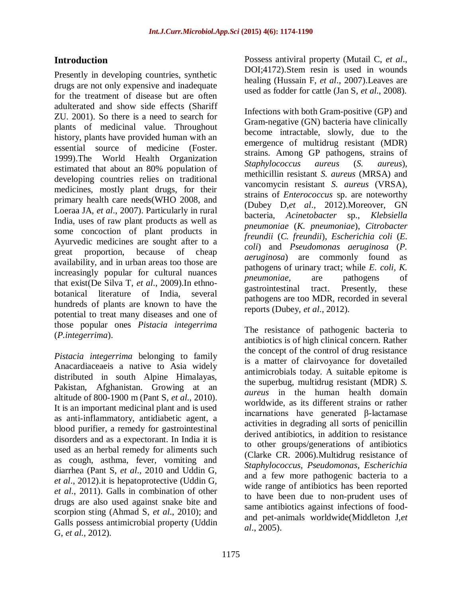# **Introduction**

Presently in developing countries, synthetic drugs are not only expensive and inadequate for the treatment of disease but are often adulterated and show side effects (Shariff ZU. 2001). So there is a need to search for plants of medicinal value. Throughout history, plants have provided human with an essential source of medicine (Foster. 1999).The World Health Organization estimated that about an 80% population of developing countries relies on traditional medicines, mostly plant drugs, for their primary health care needs(WHO 2008, and Loeraa JA, *et al*., 2007). Particularly in rural India, uses of raw plant products as well as some concoction of plant products in Ayurvedic medicines are sought after to a great proportion, because of cheap availability, and in urban areas too those are increasingly popular for cultural nuances that exist(De Silva T, *et al*., 2009).In ethnobotanical literature of India, several hundreds of plants are known to have the potential to treat many diseases and one of those popular ones *Pistacia integerrima* (*P.integerrima*).

*Pistacia integerrima* belonging to family Anacardiaceaeis a native to Asia widely distributed in south Alpine Himalayas, Pakistan, Afghanistan. Growing at an altitude of 800-1900 m (Pant S, *et al*., 2010). It is an important medicinal plant and is used as anti-inflammatory, antidiabetic agent, a blood purifier, a remedy for gastrointestinal disorders and as a expectorant. In India it is used as an herbal remedy for aliments such as cough, asthma, fever, vomiting and diarrhea (Pant S, *et al*., 2010 and Uddin G, *et al*., 2012).it is hepatoprotective (Uddin G, *et al*., 2011). Galls in combination of other drugs are also used against snake bite and scorpion sting (Ahmad S, *et al*., 2010); and Galls possess antimicrobial property (Uddin G, *et al*., 2012).

Possess antiviral property (Mutail C, *et al*., DOI;4172).Stem resin is used in wounds healing (Hussain F, *et al*., 2007).Leaves are used as fodder for cattle (Jan S, *et al*., 2008).

Infections with both Gram-positive (GP) and Gram-negative (GN) bacteria have clinically become intractable, slowly, due to the emergence of multidrug resistant (MDR) strains. Among GP pathogens, strains of *Staphylococcus aureus* (*S. aureus*), methicillin resistant *S. aureus* (MRSA) and vancomycin resistant *S. aureus* (VRSA), strains of *Enterococcus* sp. are noteworthy (Dubey D,*et al*., 2012).Moreover, GN bacteria, *Acinetobacter* sp., *Klebsiella pneumoniae* (*K. pneumoniae*), *Citrobacter freundii* (*C. freundii*), *Escherichia coli* (*E. coli*) and *Pseudomonas aeruginosa* (*P. aeruginosa*) are commonly found as pathogens of urinary tract; while *E. coli, K. pneumoniae,* are pathogens of gastrointestinal tract. Presently, these pathogens are too MDR, recorded in several reports (Dubey, *et al*., 2012).

The resistance of pathogenic bacteria to antibiotics is of high clinical concern. Rather the concept of the control of drug resistance is a matter of clairvoyance for dovetailed antimicrobials today. A suitable epitome is the superbug, multidrug resistant (MDR) *S. aureus* in the human health domain worldwide, as its different strains or rather incarnations have generated β-lactamase activities in degrading all sorts of penicillin derived antibiotics, in addition to resistance to other groups/generations of antibiotics (Clarke CR. 2006).Multidrug resistance of *Staphylococcus, Pseudomonas, Escherichia* and a few more pathogenic bacteria to a wide range of antibiotics has been reported to have been due to non-prudent uses of same antibiotics against infections of foodand pet-animals worldwide(Middleton J,*et al*., 2005).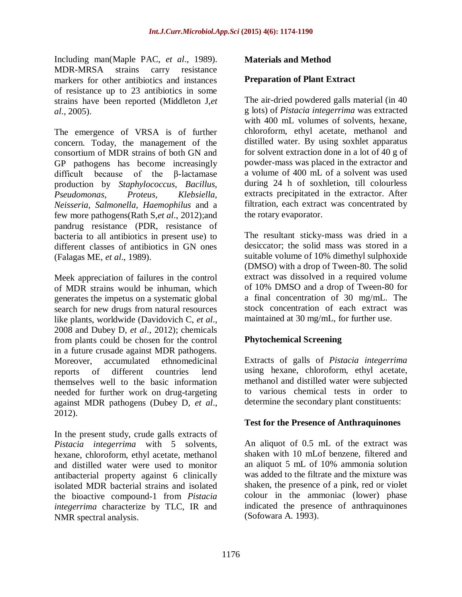Including man(Maple PAC, *et al*., 1989). MDR-MRSA strains carry resistance markers for other antibiotics and instances of resistance up to 23 antibiotics in some strains have been reported (Middleton J,*et al*., 2005).

The emergence of VRSA is of further concern. Today, the management of the consortium of MDR strains of both GN and GP pathogens has become increasingly difficult because of the β-lactamase production by *Staphylococcus, Bacillus, Pseudomonas, Proteus, Klebsiella, Neisseria, Salmonella, Haemophilus* and a few more pathogens(Rath S,*et al*., 2012);and pandrug resistance (PDR, resistance of bacteria to all antibiotics in present use) to different classes of antibiotics in GN ones (Falagas ME, *et al*., 1989).

Meek appreciation of failures in the control of MDR strains would be inhuman, which generates the impetus on a systematic global search for new drugs from natural resources like plants, worldwide (Davidovich C, *et al*., 2008 and Dubey D, *et al*., 2012); chemicals from plants could be chosen for the control in a future crusade against MDR pathogens. Moreover, accumulated ethnomedicinal reports of different countries lend themselves well to the basic information needed for further work on drug-targeting against MDR pathogens (Dubey D, *et al*., 2012).

In the present study, crude galls extracts of *Pistacia integerrima* with 5 solvents, hexane, chloroform, ethyl acetate, methanol and distilled water were used to monitor antibacterial property against 6 clinically isolated MDR bacterial strains and isolated the bioactive compound-1 from *Pistacia integerrima* characterize by TLC, IR and NMR spectral analysis.

### **Materials and Method**

#### **Preparation of Plant Extract**

The air-dried powdered galls material (in 40 g lots) of *Pistacia integerrima* was extracted with 400 mL volumes of solvents, hexane, chloroform, ethyl acetate, methanol and distilled water. By using soxhlet apparatus for solvent extraction done in a lot of 40 g of powder-mass was placed in the extractor and a volume of 400 mL of a solvent was used during 24 h of soxhletion, till colourless extracts precipitated in the extractor. After filtration, each extract was concentrated by the rotary evaporator.

The resultant sticky-mass was dried in a desiccator; the solid mass was stored in a suitable volume of 10% dimethyl sulphoxide (DMSO) with a drop of Tween-80. The solid extract was dissolved in a required volume of 10% DMSO and a drop of Tween-80 for a final concentration of 30 mg/mL. The stock concentration of each extract was maintained at 30 mg/mL, for further use.

### **Phytochemical Screening**

Extracts of galls of *Pistacia integerrima* using hexane, chloroform, ethyl acetate, methanol and distilled water were subjected to various chemical tests in order to determine the secondary plant constituents:

### **Test for the Presence of Anthraquinones**

An aliquot of 0.5 mL of the extract was shaken with 10 mLof benzene, filtered and an aliquot 5 mL of 10% ammonia solution was added to the filtrate and the mixture was shaken, the presence of a pink, red or violet colour in the ammoniac (lower) phase indicated the presence of anthraquinones (Sofowara A. 1993).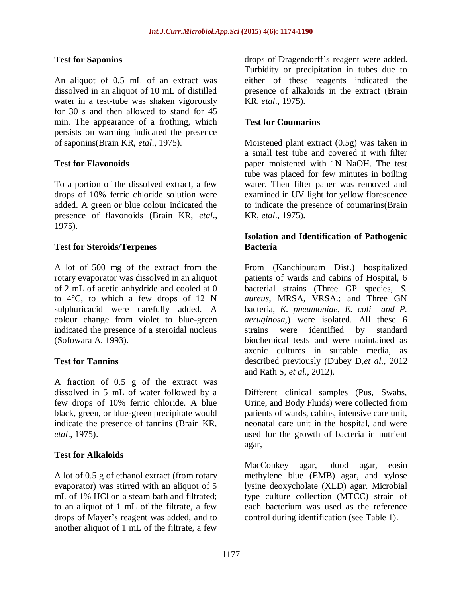# **Test for Saponins**

An aliquot of 0.5 mL of an extract was dissolved in an aliquot of 10 mL of distilled water in a test-tube was shaken vigorously for 30 s and then allowed to stand for 45 min. The appearance of a frothing, which persists on warming indicated the presence of saponins(Brain KR, *etal*., 1975).

# **Test for Flavonoids**

To a portion of the dissolved extract, a few drops of 10% ferric chloride solution were added. A green or blue colour indicated the presence of flavonoids (Brain KR, *etal*., 1975).

### **Test for Steroids/Terpenes**

A lot of 500 mg of the extract from the rotary evaporator was dissolved in an aliquot of 2 mL of acetic anhydride and cooled at 0 to 4°C, to which a few drops of 12 N sulphuricacid were carefully added. A colour change from violet to blue-green indicated the presence of a steroidal nucleus (Sofowara A. 1993).

### **Test for Tannins**

A fraction of 0.5 g of the extract was dissolved in 5 mL of water followed by a few drops of 10% ferric chloride. A blue black, green, or blue-green precipitate would indicate the presence of tannins (Brain KR, *etal*., 1975).

### **Test for Alkaloids**

A lot of 0.5 g of ethanol extract (from rotary evaporator) was stirred with an aliquot of 5 mL of 1% HCl on a steam bath and filtrated; to an aliquot of 1 mL of the filtrate, a few drops of Mayer's reagent was added, and to another aliquot of 1 mL of the filtrate, a few

drops of Dragendorff's reagent were added. Turbidity or precipitation in tubes due to either of these reagents indicated the presence of alkaloids in the extract (Brain KR, *etal*., 1975).

## **Test for Coumarins**

Moistened plant extract (0.5g) was taken in a small test tube and covered it with filter paper moistened with 1N NaOH. The test tube was placed for few minutes in boiling water. Then filter paper was removed and examined in UV light for yellow florescence to indicate the presence of coumarins(Brain KR, *etal*., 1975).

### **Isolation and Identification of Pathogenic Bacteria**

From (Kanchipuram Dist.) hospitalized patients of wards and cabins of Hospital, 6 bacterial strains (Three GP species, *S. aureus*, MRSA, VRSA.; and Three GN bacteria, *K. pneumoniae, E. coli and P. aeruginosa,*) were isolated. All these 6 strains were identified by standard biochemical tests and were maintained as axenic cultures in suitable media, as described previously (Dubey D,*et al*., 2012 and Rath S, *et al*., 2012).

Different clinical samples (Pus, Swabs, Urine, and Body Fluids) were collected from patients of wards, cabins, intensive care unit, neonatal care unit in the hospital, and were used for the growth of bacteria in nutrient agar,

MacConkey agar, blood agar, eosin methylene blue (EMB) agar, and xylose lysine deoxycholate (XLD) agar. Microbial type culture collection (MTCC) strain of each bacterium was used as the reference control during identification (see [Table 1\)](http://www.ncbi.nlm.nih.gov/pmc/articles/PMC4027298/table/apjtd-03-03-217-t01/).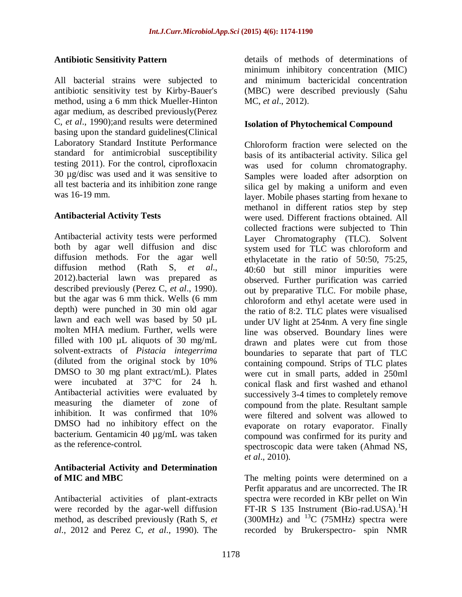### **Antibiotic Sensitivity Pattern**

All bacterial strains were subjected to antibiotic sensitivity test by Kirby-Bauer's method, using a 6 mm thick Mueller-Hinton agar medium, as described previously(Perez C, *et al*., 1990);and results were determined basing upon the standard guidelines(Clinical Laboratory Standard Institute Performance standard for antimicrobial susceptibility testing 2011). For the control, ciprofloxacin 30 µg/disc was used and it was sensitive to all test bacteria and its inhibition zone range was 16-19 mm.

### **Antibacterial Activity Tests**

Antibacterial activity tests were performed both by agar well diffusion and disc diffusion methods. For the agar well diffusion method (Rath S, *et al*., 2012).bacterial lawn was prepared as described previously (Perez C, *et al*., 1990). but the agar was 6 mm thick. Wells (6 mm depth) were punched in 30 min old agar lawn and each well was based by 50 µL molten MHA medium. Further, wells were filled with 100  $\mu$ L aliquots of 30 mg/mL solvent-extracts of *Pistacia integerrima* (diluted from the original stock by 10% DMSO to 30 mg plant extract/mL). Plates were incubated at 37°C for 24 h. Antibacterial activities were evaluated by measuring the diameter of zone of inhibition. It was confirmed that 10% DMSO had no inhibitory effect on the bacterium. Gentamicin 40 µg/mL was taken as the reference-control.

### **Antibacterial Activity and Determination of MIC and MBC**

Antibacterial activities of plant-extracts were recorded by the agar-well diffusion method, as described previously (Rath S, *et al*., 2012 and Perez C, *et al*., 1990). The

details of methods of determinations of minimum inhibitory concentration (MIC) and minimum bactericidal concentration (MBC) were described previously (Sahu MC, *et al*., 2012).

## **Isolation of Phytochemical Compound**

Chloroform fraction were selected on the basis of its antibacterial activity. Silica gel was used for column chromatography. Samples were loaded after adsorption on silica gel by making a uniform and even layer. Mobile phases starting from hexane to methanol in different ratios step by step were used. Different fractions obtained. All collected fractions were subjected to Thin Layer Chromatography (TLC). Solvent system used for TLC was chloroform and ethylacetate in the ratio of 50:50, 75:25, 40:60 but still minor impurities were observed. Further purification was carried out by preparative TLC. For mobile phase, chloroform and ethyl acetate were used in the ratio of 8:2. TLC plates were visualised under UV light at 254nm. A very fine single line was observed. Boundary lines were drawn and plates were cut from those boundaries to separate that part of TLC containing compound. Strips of TLC plates were cut in small parts, added in 250ml conical flask and first washed and ethanol successively 3-4 times to completely remove compound from the plate. Resultant sample were filtered and solvent was allowed to evaporate on rotary evaporator. Finally compound was confirmed for its purity and spectroscopic data were taken (Ahmad NS, *et al*., 2010).

The melting points were determined on a Perfit apparatus and are uncorrected. The IR spectra were recorded in KBr pellet on Win FT-IR S 135 Instrument (Bio-rad.USA).<sup>1</sup>H (300MHz) and  ${}^{13}C$  (75MHz) spectra were recorded by Brukerspectro- spin NMR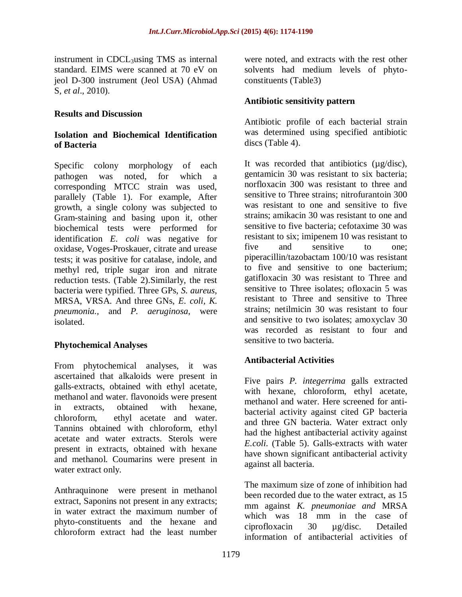instrument in CDCL<sup>3</sup>using TMS as internal standard. EIMS were scanned at 70 eV on jeol D-300 instrument (Jeol USA) (Ahmad S, *et al*., 2010).

#### **Results and Discussion**

#### **Isolation and Biochemical Identification of Bacteria**

Specific colony morphology of each pathogen was noted, for which a corresponding MTCC strain was used, parallely [\(Table 1\)](http://www.ncbi.nlm.nih.gov/pmc/articles/PMC4027298/table/apjtd-03-03-217-t01/). For example, After growth, a single colony was subjected to Gram-staining and basing upon it, other biochemical tests were performed for identification *E. coli* was negative for oxidase, Voges-Proskauer, citrate and urease tests; it was positive for catalase, indole, and methyl red, triple sugar iron and nitrate reduction tests. [\(Table 2\)](http://www.ncbi.nlm.nih.gov/pmc/articles/PMC4027298/table/apjtd-03-03-217-t02/).Similarly, the rest bacteria were typified. Three GPs, *S. aureus*, MRSA, VRSA. And three GNs, *E. coli, K. pneumonia.,* and *P. aeruginosa*, were isolated.

### **Phytochemical Analyses**

From phytochemical analyses, it was ascertained that alkaloids were present in galls-extracts, obtained with ethyl acetate, methanol and water. flavonoids were present in extracts, obtained with hexane, chloroform, ethyl acetate and water. Tannins obtained with chloroform, ethyl acetate and water extracts. Sterols were present in extracts, obtained with hexane and methanol. Coumarins were present in water extract only.

Anthraquinone were present in methanol extract, Saponins not present in any extracts; in water extract the maximum number of phyto-constituents and the hexane and chloroform extract had the least number

were noted, and extracts with the rest other solvents had medium levels of phytoconstituents [\(Table3\)](http://www.ncbi.nlm.nih.gov/pmc/articles/PMC4027298/table/apjtd-03-03-217-t03/)

### **Antibiotic sensitivity pattern**

Antibiotic profile of each bacterial strain was determined using specified antibiotic discs [\(Table 4\)](http://www.ncbi.nlm.nih.gov/pmc/articles/PMC4027298/table/apjtd-03-03-217-t04/).

It was recorded that antibiotics (µg/disc), gentamicin 30 was resistant to six bacteria; norfloxacin 300 was resistant to three and sensitive to Three strains; nitrofurantoin 300 was resistant to one and sensitive to five strains; amikacin 30 was resistant to one and sensitive to five bacteria; cefotaxime 30 was resistant to six; imipenem 10 was resistant to five and sensitive to one; piperacillin/tazobactam 100/10 was resistant to five and sensitive to one bacterium; gatifloxacin 30 was resistant to Three and sensitive to Three isolates; ofloxacin 5 was resistant to Three and sensitive to Three strains; netilmicin 30 was resistant to four and sensitive to two isolates; amoxyclav 30 was recorded as resistant to four and sensitive to two bacteria.

### **Antibacterial Activities**

Five pairs *P. integerrima* galls extracted with hexane, chloroform, ethyl acetate, methanol and water. Here screened for antibacterial activity against cited GP bacteria and three GN bacteria. Water extract only had the highest antibacterial activity against *E.coli*. [\(Table 5\)](http://www.ncbi.nlm.nih.gov/pmc/articles/PMC4027298/table/apjtd-03-03-217-t05/). Galls-extracts with water have shown significant antibacterial activity against all bacteria.

The maximum size of zone of inhibition had been recorded due to the water extract, as 15 mm against *K. pneumoniae and* MRSA which was 18 mm in the case of ciprofloxacin 30 µg/disc. Detailed information of antibacterial activities of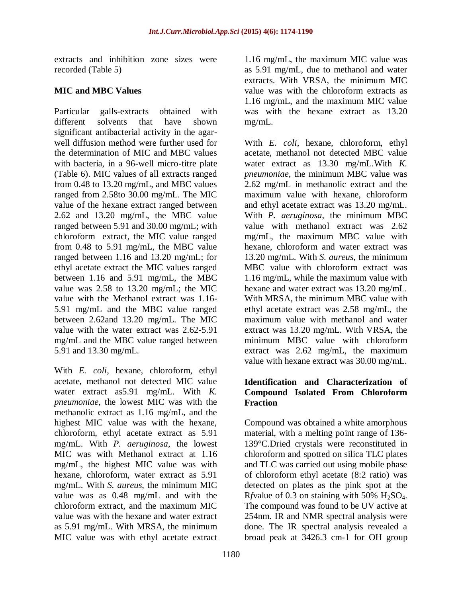extracts and inhibition zone sizes were recorded [\(Table 5\)](http://www.ncbi.nlm.nih.gov/pmc/articles/PMC4027298/table/apjtd-03-03-217-t05/)

# **MIC and MBC Values**

Particular galls-extracts obtained with different solvents that have shown significant antibacterial activity in the agarwell diffusion method were further used for the determination of MIC and MBC values with bacteria, in a 96-well micro-titre plate [\(Table 6\)](http://www.ncbi.nlm.nih.gov/pmc/articles/PMC4027298/table/apjtd-03-03-217-t06/). MIC values of all extracts ranged from 0.48 to 13.20 mg/mL, and MBC values ranged from 2.58to 30.00 mg/mL. The MIC value of the hexane extract ranged between 2.62 and 13.20 mg/mL, the MBC value ranged between 5.91 and 30.00 mg/mL; with chloroform extract, the MIC value ranged from 0.48 to 5.91 mg/mL, the MBC value ranged between 1.16 and 13.20 mg/mL; for ethyl acetate extract the MIC values ranged between 1.16 and 5.91 mg/mL, the MBC value was 2.58 to 13.20 mg/mL; the MIC value with the Methanol extract was 1.16- 5.91 mg/mL and the MBC value ranged between 2.62and 13.20 mg/mL. The MIC value with the water extract was 2.62-5.91 mg/mL and the MBC value ranged between 5.91 and 13.30 mg/mL.

With *E. coli*, hexane, chloroform, ethyl acetate, methanol not detected MIC value water extract as5.91 mg/mL. With *K. pneumoniae*, the lowest MIC was with the methanolic extract as 1.16 mg/mL, and the highest MIC value was with the hexane, chloroform, ethyl acetate extract as 5.91 mg/mL. With *P. aeruginosa*, the lowest MIC was with Methanol extract at 1.16 mg/mL, the highest MIC value was with hexane, chloroform, water extract as 5.91 mg/mL. With *S. aureus*, the minimum MIC value was as 0.48 mg/mL and with the chloroform extract, and the maximum MIC value was with the hexane and water extract as 5.91 mg/mL. With MRSA, the minimum MIC value was with ethyl acetate extract

1.16 mg/mL, the maximum MIC value was as 5.91 mg/mL, due to methanol and water extracts. With VRSA, the minimum MIC value was with the chloroform extracts as 1.16 mg/mL, and the maximum MIC value was with the hexane extract as 13.20 mg/mL.

With *E. coli*, hexane, chloroform, ethyl acetate, methanol not detected MBC value water extract as 13.30 mg/mL.With *K. pneumoniae*, the minimum MBC value was 2.62 mg/mL in methanolic extract and the maximum value with hexane, chloroform and ethyl acetate extract was 13.20 mg/mL. With *P. aeruginosa*, the minimum MBC value with methanol extract was 2.62 mg/mL, the maximum MBC value with hexane, chloroform and water extract was 13.20 mg/mL. With *S. aureus*, the minimum MBC value with chloroform extract was 1.16 mg/mL, while the maximum value with hexane and water extract was 13.20 mg/mL. With MRSA, the minimum MBC value with ethyl acetate extract was 2.58 mg/mL, the maximum value with methanol and water extract was 13.20 mg/mL. With VRSA, the minimum MBC value with chloroform extract was 2.62 mg/mL, the maximum value with hexane extract was 30.00 mg/mL.

# **Identification and Characterization of Compound Isolated From Chloroform Fraction**

Compound was obtained a white amorphous material, with a melting point range of 136- 139°C.Dried crystals were reconstituted in chloroform and spotted on silica TLC plates and TLC was carried out using mobile phase of chloroform ethyl acetate (8:2 ratio) was detected on plates as the pink spot at the R*f*value of 0.3 on staining with  $50\%$  H<sub>2</sub>SO<sub>4</sub>. The compound was found to be UV active at 254nm. IR and NMR spectral analysis were done. The IR spectral analysis revealed a broad peak at 3426.3 cm-1 for OH group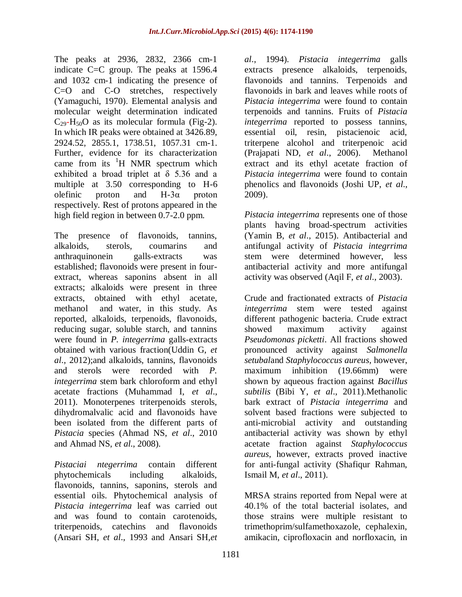The peaks at 2936, 2832, 2366 cm-1 indicate C=C group. The peaks at 1596.4 and 1032 cm-1 indicating the presence of C=O and C-O stretches, respectively (Yamaguchi, 1970). Elemental analysis and molecular weight determination indicated  $C_{29}$ -H<sub>50</sub>O as its molecular formula (Fig-2). In which IR peaks were obtained at 3426.89, 2924.52, 2855.1, 1738.51, 1057.31 cm-1. Further, evidence for its characterization came from its  $H$  NMR spectrum which exhibited a broad triplet at δ 5.36 and a multiple at 3.50 corresponding to H-6 olefinic proton and  $H-3\alpha$  proton respectively. Rest of protons appeared in the high field region in between 0.7-2.0 ppm.

The presence of flavonoids, tannins, alkaloids, sterols, coumarins and anthraquinonein galls-extracts was established; flavonoids were present in fourextract, whereas saponins absent in all extracts; alkaloids were present in three extracts, obtained with ethyl acetate, methanol and water, in this study. As reported, alkaloids, terpenoids, flavonoids, reducing sugar, soluble starch, and tannins were found in *P. integerrima* galls-extracts obtained with various fraction(Uddin G, *et al*., 2012);and alkaloids, tannins, flavonoids and sterols were recorded with *P. integerrima* stem bark chloroform and ethyl acetate fractions (Muhammad I, *et al*., 2011). Monoterpenes triterpenoids sterols, dihydromalvalic acid and flavonoids have been isolated from the different parts of *Pistacia* species (Ahmad NS, *et al*., 2010 and Ahmad NS, *et al*., 2008).

*Pistaciai ntegerrima* contain different phytochemicals including alkaloids, flavonoids, tannins, saponins, sterols and essential oils. Phytochemical analysis of *Pistacia integerrima* leaf was carried out and was found to contain carotenoids, triterpenoids, catechins and flavonoids (Ansari SH, *et al*., 1993 and Ansari SH,*et* 

*al*., 1994). *Pistacia integerrima* galls extracts presence alkaloids, terpenoids, flavonoids and tannins. Terpenoids and flavonoids in bark and leaves while roots of *Pistacia integerrima* were found to contain terpenoids and tannins. Fruits of *Pistacia integerrima* reported to possess tannins, essential oil, resin, pistacienoic acid, triterpene alcohol and triterpenoic acid (Prajapati ND, *et al*., 2006). Methanol extract and its ethyl acetate fraction of *Pistacia integerrima* were found to contain phenolics and flavonoids (Joshi UP, *et al*., 2009).

*Pistacia integerrima* represents one of those plants having broad-spectrum activities (Yamin B, *et al*., 2015). Antibacterial and antifungal activity of *Pistacia integrrima* stem were determined however, less antibacterial activity and more antifungal activity was observed (Aqil F, *et al*., 2003).

Crude and fractionated extracts of *Pistacia integerrima* stem were tested against different pathogenic bacteria. Crude extract showed maximum activity against *Pseudomonas picketti*. All fractions showed pronounced activity against *Salmonella setubal*and *Staphylococcus aureus,* however, maximum inhibition (19.66mm) were shown by aqueous fraction against *Bacillus subtilis* (Bibi Y, *et al*., 2011).Methanolic bark extract of *Pistacia integerrima* and solvent based fractions were subjected to anti-microbial activity and outstanding antibacterial activity was shown by ethyl acetate fraction against *Staphylococcus aureus*, however, extracts proved inactive for anti-fungal activity (Shafiqur Rahman, Ismail M, *et al*., 2011).

MRSA strains reported from Nepal were at 40.1% of the total bacterial isolates, and those strains were multiple resistant to trimethoprim/sulfamethoxazole, cephalexin, amikacin, ciprofloxacin and norfloxacin, in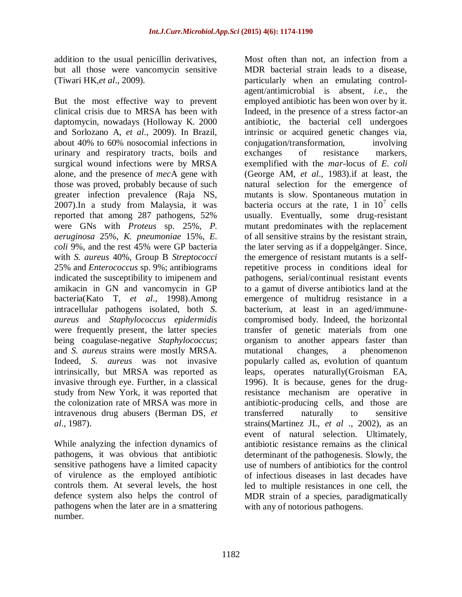addition to the usual penicillin derivatives, but all those were vancomycin sensitive (Tiwari HK,*et al*., 2009).

But the most effective way to prevent clinical crisis due to MRSA has been with daptomycin, nowadays (Holloway K. 2000 and Sorlozano A, *et al*., 2009). In Brazil, about 40% to 60% nosocomial infections in urinary and respiratory tracts, boils and surgical wound infections were by MRSA alone, and the presence of *mec*A gene with those was proved, probably because of such greater infection prevalence (Raja NS, 2007).In a study from Malaysia, it was reported that among 287 pathogens, 52% were GNs with *Proteus* sp. 25%, *P. aeruginosa* 25%, *K. pneumoniae* 15%, *E. coli* 9%, and the rest 45% were GP bacteria with *S. aureus* 40%, Group B *Streptococci* 25% and *Enterococcus* sp. 9%; antibiograms indicated the susceptibility to imipenem and amikacin in GN and vancomycin in GP bacteria(Kato T, *et al*., 1998).Among intracellular pathogens isolated, both *S. aureus* and *Staphylococcus epidermidis* were frequently present, the latter species being coagulase-negative *Staphylococcus*; and *S. aureus* strains were mostly MRSA. Indeed, *S. aureus* was not invasive intrinsically, but MRSA was reported as invasive through eye. Further, in a classical study from New York, it was reported that the colonization rate of MRSA was more in intravenous drug abusers (Berman DS, *et al*., 1987).

While analyzing the infection dynamics of pathogens, it was obvious that antibiotic sensitive pathogens have a limited capacity of virulence as the employed antibiotic controls them. At several levels, the host defence system also helps the control of pathogens when the later are in a smattering number.

Most often than not, an infection from a MDR bacterial strain leads to a disease, particularly when an emulating controlagent/antimicrobial is absent, *i.e.*, the employed antibiotic has been won over by it. Indeed, in the presence of a stress factor-an antibiotic, the bacterial cell undergoes intrinsic or acquired genetic changes via, conjugation/transformation, involving exchanges of resistance markers, exemplified with the *mar*-locus of *E. coli* [\(George AM,](http://www.ncbi.nlm.nih.gov/pmc/articles/PMC4027298/#b48) *et al*., 1983).if at least, the natural selection for the emergence of mutants is slow. Spontaneous mutation in bacteria occurs at the rate, 1 in  $10^7$  cells usually. Eventually, some drug-resistant mutant predominates with the replacement of all sensitive strains by the resistant strain, the later serving as if a doppelgänger. Since, the emergence of resistant mutants is a selfrepetitive process in conditions ideal for pathogens, serial/continual resistant events to a gamut of diverse antibiotics land at the emergence of multidrug resistance in a bacterium, at least in an aged/immunecompromised body. Indeed, the horizontal transfer of genetic materials from one organism to another appears faster than mutational changes, a phenomenon popularly called as, evolution of quantum leaps, operates naturally(Groisman EA, 1996). It is because, genes for the drugresistance mechanism are operative in antibiotic-producing cells, and those are transferred naturally to sensitive strains(Martinez JL, *et al* ., 2002), as an event of natural selection. Ultimately, antibiotic resistance remains as the clinical determinant of the pathogenesis. Slowly, the use of numbers of antibiotics for the control of infectious diseases in last decades have led to multiple resistances in one cell, the MDR strain of a species, paradigmatically with any of notorious pathogens.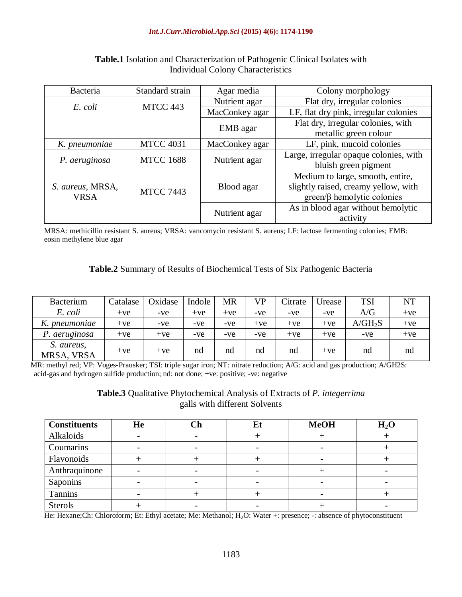#### *Int.J.Curr.Microbiol.App.Sci* **(2015) 4(6): 1174-1190**

| Bacteria                        | Standard strain  | Agar media     | Colony morphology                      |  |  |  |
|---------------------------------|------------------|----------------|----------------------------------------|--|--|--|
| E. coli                         | MTCC 443         | Nutrient agar  | Flat dry, irregular colonies           |  |  |  |
|                                 |                  | MacConkey agar | LF, flat dry pink, irregular colonies  |  |  |  |
|                                 |                  | EMB agar       | Flat dry, irregular colonies, with     |  |  |  |
|                                 |                  |                | metallic green colour                  |  |  |  |
| K. pneumoniae                   | <b>MTCC 4031</b> | MacConkey agar | LF, pink, mucoid colonies              |  |  |  |
| P. aeruginosa                   | <b>MTCC 1688</b> | Nutrient agar  | Large, irregular opaque colonies, with |  |  |  |
|                                 |                  |                | bluish green pigment                   |  |  |  |
|                                 |                  |                | Medium to large, smooth, entire,       |  |  |  |
| S. aureus, MRSA,<br><b>VRSA</b> | <b>MTCC 7443</b> | Blood agar     | slightly raised, creamy yellow, with   |  |  |  |
|                                 |                  |                | $green/\beta$ hemolytic colonies       |  |  |  |
|                                 |                  |                | As in blood agar without hemolytic     |  |  |  |
|                                 |                  | Nutrient agar  | activity                               |  |  |  |

### **Table.1** Isolation and Characterization of Pathogenic Clinical Isolates with Individual Colony Characteristics

MRSA: methicillin resistant S. aureus; VRSA: vancomycin resistant S. aureus; LF: lactose fermenting colonies; EMB: eosin methylene blue agar

#### **Table.2** Summary of Results of Biochemical Tests of Six Pathogenic Bacteria

| <b>Bacterium</b>         | Catalase | Oxidase | Indole | <b>MR</b> | VP    | Citrate | Jrease | <b>TSI</b> | NT    |
|--------------------------|----------|---------|--------|-----------|-------|---------|--------|------------|-------|
| E. coli                  | $+ve$    | -ve     | $+ve$  | $+ve$     | -ve   | -ve     | -ve    | A/G        | $+ve$ |
| K. pneumoniae            | $+ve$    | -ve     | $-ve$  | -ve       | $+ve$ | $+ve$   | $+ve$  | $A/GH_2S$  | $+ve$ |
| P. aeruginosa            | $+ve$    | $+ve$   | -ve    | -ve       | -ve   | $+ve$   | $+ve$  | -ve        | $+ve$ |
| S. aureus,<br>MRSA, VRSA | $+ve$    | $+ve$   | nd     | nd        | nd    | nd      | $+ve$  | nd         | nd    |

MR: methyl red; VP: Voges-Prausker; TSI: triple sugar iron; NT: nitrate reduction; A/G: acid and gas production; A/GH2S: acid-gas and hydrogen sulfide production; nd: not done; +ve: positive; -ve: negative

#### **Table.3** Qualitative Phytochemical Analysis of Extracts of *P. integerrima* galls with different Solvents

| <b>Constituents</b> | He | $\mathbb C\mathbf h$ | L) | <b>MeOH</b> | H <sub>2</sub> O |
|---------------------|----|----------------------|----|-------------|------------------|
| Alkaloids           |    |                      |    |             |                  |
| Coumarins           |    |                      |    |             |                  |
| Flavonoids          |    |                      |    |             |                  |
| Anthraquinone       |    |                      |    |             |                  |
| Saponins            |    |                      |    |             |                  |
| Tannins             |    |                      |    |             |                  |
| <b>Sterols</b>      |    |                      |    |             |                  |

He: Hexane;Ch: Chloroform; Et: Ethyl acetate; Me: Methanol; H<sub>2</sub>O: Water +: presence; -: absence of phytoconstituent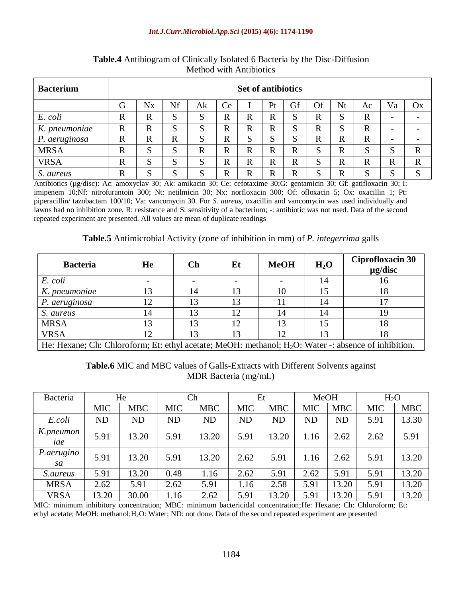#### *Int.J.Curr.Microbiol.App.Sci* **(2015) 4(6): 1174-1190**

| <b>Bacterium</b> | <b>Set of antibiotics</b> |                                                                                   |             |             |              |              |                   |              |             |             |             |                          |             |
|------------------|---------------------------|-----------------------------------------------------------------------------------|-------------|-------------|--------------|--------------|-------------------|--------------|-------------|-------------|-------------|--------------------------|-------------|
|                  | G                         | Of<br>Ce<br>Nf<br>Gf<br>Nt<br><b>N</b> <sub>x</sub><br>Ak<br>Va<br>Pt<br>Ox<br>Ac |             |             |              |              |                   |              |             |             |             |                          |             |
| E. coli          | $\mathbf R$               | $\mathbb{R}$                                                                      | S           | S           | R            | $\mathbb{R}$ | $\mathbf R$       | G            | $\mathbf R$ | S           | $\mathbf R$ | $\overline{\phantom{0}}$ |             |
| K.<br>pneumoniae | $\mathbf R$               | $\mathbf R$                                                                       | S           | S           | $\mathbf R$  | $\mathbb{R}$ | $\mathbf R$       | ຕ            | $\mathbf R$ | S           | $\mathbf R$ | -                        |             |
| P. aeruginosa    | $\mathbf R$               | $\mathbf R$                                                                       | $\mathbf R$ | S           | R            | S            | $\mathbf{C}$<br>د | ຕ            | $\mathbf R$ | $\mathbf R$ | $\mathbf R$ | -                        |             |
| <b>MRSA</b>      | $\mathbf R$               | S                                                                                 | S           | $\mathbf R$ | $\mathbf R$  | $\mathbf R$  | $\mathbf R$       | R            | S           | $\mathbf R$ | S           | Q<br>C                   | $\mathbf R$ |
| <b>VRSA</b>      | $\mathbb{R}$              | C<br>د                                                                            | S           | S           | R            | $\mathbb{R}$ | R                 | $\mathbb{R}$ | S           | $\mathbf R$ | $\mathbf R$ | R                        | $\mathbf R$ |
| S. aureus        | $\mathbf R$               | S                                                                                 | S           | S           | $\mathbb{R}$ | $\mathbf R$  | R                 | R            | S           | $\mathbf R$ | S           | S                        | S           |

**Table.4** Antibiogram of Clinically Isolated 6 Bacteria by the Disc-Diffusion Method with Antibiotics

Antibiotics (µg/disc): Ac: amoxyclav 30; Ak: amikacin 30; Ce: cefotaxime 30;G: gentamicin 30; Gf: gatifloxacin 30; I: imipenem 10;Nf: nitrofurantoin 300; Nt: netilmicin 30; Nx: norfloxacin 300; Of: ofloxacin 5; Ox: oxacillin 1; Pt: piperacillin/ tazobactam 100/10; Va: vancomycin 30. For *S. aureus*, oxacillin and vancomycin was used individually and lawns had no inhibition zone. R: resistance and S: sensitivity of a bacterium; -: antibiotic was not used. Data of the second repeated experiment are presented. All values are mean of duplicate readings

#### **Table.5** Antimicrobial Activity (zone of inhibition in mm) of *P. integerrima* galls

| <b>Bacteria</b>                                                                                                  | He  | Ch | Et | <b>MeOH</b> | $H_2O$ | Ciprofloxacin 30<br>$\mu$ g/disc |  |  |
|------------------------------------------------------------------------------------------------------------------|-----|----|----|-------------|--------|----------------------------------|--|--|
| E. coli                                                                                                          |     |    |    |             | 14     | 10                               |  |  |
| K. pneumoniae                                                                                                    | 13  | 14 | 13 | 10          |        | 18                               |  |  |
| P. aeruginosa                                                                                                    | 12. | 13 | 13 |             |        |                                  |  |  |
| S. aureus                                                                                                        | 14  | 13 | 12 |             |        | 19                               |  |  |
| <b>MRSA</b>                                                                                                      | 13  | 13 | 12 | 13          |        | 18                               |  |  |
| <b>VRSA</b>                                                                                                      | 12  | 13 | 13 |             |        | Ιð                               |  |  |
| He: Hexane; Ch: Chloroform; Et: ethyl acetate; MeOH: methanol; H <sub>2</sub> O: Water -: absence of inhibition. |     |    |    |             |        |                                  |  |  |

**Table.6** MIC and MBC values of Galls-Extracts with Different Solvents against MDR Bacteria (mg/mL)

| Bacteria         |            | He         | Ch         |            | Et         |            | <b>MeOH</b> |            | $H_2O$     |            |
|------------------|------------|------------|------------|------------|------------|------------|-------------|------------|------------|------------|
|                  | <b>MIC</b> | <b>MBC</b> | <b>MIC</b> | <b>MBC</b> | <b>MIC</b> | <b>MBC</b> | <b>MIC</b>  | <b>MBC</b> | <b>MIC</b> | <b>MBC</b> |
| E.coli           | <b>ND</b>  | <b>ND</b>  | <b>ND</b>  | <b>ND</b>  | <b>ND</b>  | <b>ND</b>  | <b>ND</b>   | <b>ND</b>  | 5.91       | 13.30      |
| K.pneumon<br>iae | 5.91       | 13.20      | 5.91       | 13.20      | 5.91       | 13.20      | 1.16        | 2.62       | 2.62       | 5.91       |
| P.aerugino<br>sa | 5.91       | 13.20      | 5.91       | 13.20      | 2.62       | 5.91       | 1.16        | 2.62       | 5.91       | 13.20      |
| <i>S.aureus</i>  | 5.91       | 13.20      | 0.48       | 1.16       | 2.62       | 5.91       | 2.62        | 5.91       | 5.91       | 13.20      |
| <b>MRSA</b>      | 2.62       | 5.91       | 2.62       | 5.91       | 1.16       | 2.58       | 5.91        | 13.20      | 5.91       | 13.20      |
| <b>VRSA</b>      | 13.20      | 30.00      | 1.16       | 2.62       | 5.91       | 13.20      | 5.91        | 13.20      | 5.91       | 13.20      |

MIC: minimum inhibitory concentration; MBC: minimum bactericidal concentration;He: Hexane; Ch: Chloroform; Et: ethyl acetate; MeOH: methanol;H2O: Water; ND: not done. Data of the second repeated experiment are presented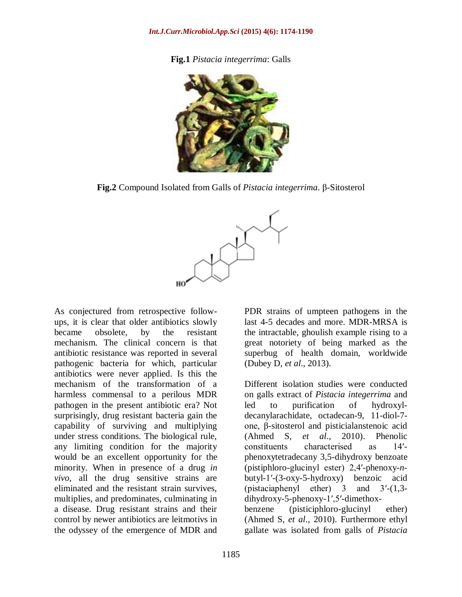**Fig.1** *Pistacia integerrima*: Galls



**Fig.2** Compound Isolated from Galls of *Pistacia integerrima*. β-Sitosterol



As conjectured from retrospective followups, it is clear that older antibiotics slowly became obsolete, by the resistant mechanism. The clinical concern is that antibiotic resistance was reported in several pathogenic bacteria for which, particular antibiotics were never applied. Is this the mechanism of the transformation of a harmless commensal to a perilous MDR pathogen in the present antibiotic era? Not surprisingly, drug resistant bacteria gain the capability of surviving and multiplying under stress conditions. The biological rule, any limiting condition for the majority would be an excellent opportunity for the minority. When in presence of a drug *in vivo*, all the drug sensitive strains are eliminated and the resistant strain survives, multiplies, and predominates, culminating in a disease. Drug resistant strains and their control by newer antibiotics are leitmotivs in the odyssey of the emergence of MDR and

PDR strains of umpteen pathogens in the last 4-5 decades and more. MDR-MRSA is the intractable, ghoulish example rising to a great notoriety of being marked as the superbug of health domain, worldwide (Dubey D, *et al*., 2013).

Different isolation studies were conducted on galls extract of *Pistacia integerrima* and led to purification of hydroxyldecanylarachidate, octadecan-9, 11-diol-7 one, β-sitosterol and pisticialanstenoic acid (Ahmed S, *et al*., 2010). Phenolic constituents characterised as 14′ phenoxytetradecany 3,5-dihydroxy benzoate (pistiphloro-glucinyl ester) 2,4′-phenoxy-*n*butyl-1′-(3-oxy-5-hydroxy) benzoic acid (pistaciaphenyl ether) 3 and 3′-(1,3 dihydroxy-5-phenoxy-1′,5′-dimethoxbenzene (pisticiphloro-glucinyl ether) (Ahmed S, *et al*., 2010). Furthermore ethyl gallate was isolated from galls of *Pistacia*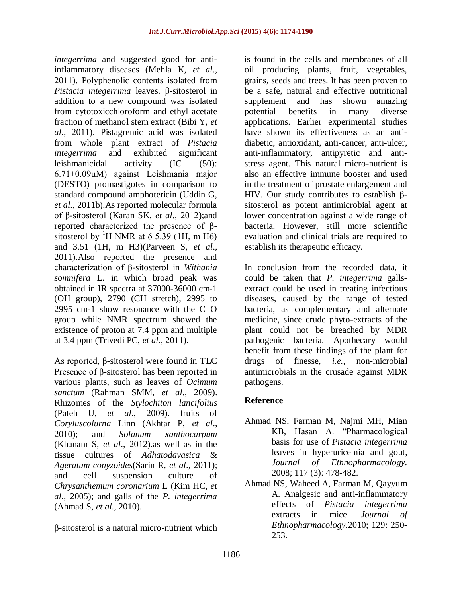*integerrima* and suggested good for antiinflammatory diseases (Mehla K, *et al*., 2011). Polyphenolic contents isolated from *Pistacia integerrima* leaves. β-sitosterol in addition to a new compound was isolated from cytotoxicchloroform and ethyl acetate fraction of methanol stem extract (Bibi Y, *et al*., 2011). Pistagremic acid was isolated from whole plant extract of *Pistacia integerrima* and exhibited significant leishmanicidal activity (IC (50): 6.71±0.09μM) against Leishmania major (DESTO) promastigotes in comparison to standard compound amphotericin (Uddin G, *et al*., 2011b).As reported molecular formula of β-sitosterol (Karan SK, *et al*., 2012);and reported characterized the presence of βsitosterol by <sup>1</sup>H NMR at  $\delta$  5.39 (1H, m H6) and 3.51 (1H, m H3)(Parveen S, *et al*., 2011).Also reported the presence and characterization of β-sitosterol in *Withania somnifera* L. in which broad peak was obtained in IR spectra at 37000-36000 cm-1 (OH group), 2790 (CH stretch), 2995 to 2995 cm-1 show resonance with the C=O group while NMR spectrum showed the existence of proton at 7.4 ppm and multiple at 3.4 ppm (Trivedi PC, *et al*., 2011).

As reported, β-sitosterol were found in TLC Presence of β-sitosterol has been reported in various plants, such as leaves of *Ocimum sanctum* (Rahman SMM, *et al*., 2009). Rhizomes of the *Stylochiton lancifolius* (Pateh U, *et al*., 2009). fruits of *Coryluscolurna* Linn (Akhtar P, *et al*., 2010); and *Solanum xanthocarpum* (Khanam S, *et al*., 2012).as well as in the tissue cultures of *Adhatodavasica* & *Ageratum conyzoides*(Sarin R, *et al*., 2011); and cell suspension culture of *Chrysanthemum coronarium* L (Kim HC, *et al*., 2005); and galls of the *P. integerrima* (Ahmad S, *et al*., 2010).

β-sitosterol is a natural micro-nutrient which

is found in the cells and membranes of all oil producing plants, fruit, vegetables, grains, seeds and trees. It has been proven to be a safe, natural and effective nutritional supplement and has shown amazing potential benefits in many diverse applications. Earlier experimental studies have shown its effectiveness as an antidiabetic, antioxidant, anti-cancer, anti-ulcer, anti-inflammatory, antipyretic and antistress agent. This natural micro-nutrient is also an effective immune booster and used in the treatment of prostate enlargement and HIV. Our study contributes to establish βsitosterol as potent antimicrobial agent at lower concentration against a wide range of bacteria. However, still more scientific evaluation and clinical trials are required to establish its therapeutic efficacy.

In conclusion from the recorded data, it could be taken that *P. integerrima* gallsextract could be used in treating infectious diseases, caused by the range of tested bacteria, as complementary and alternate medicine, since crude phyto-extracts of the plant could not be breached by MDR pathogenic bacteria. Apothecary would benefit from these findings of the plant for drugs of finesse, *i.e.*, non-microbial antimicrobials in the crusade against MDR pathogens.

# **Reference**

- Ahmad NS, Farman M, Najmi MH, Mian KB, Hasan A. "Pharmacological basis for use of *Pistacia integerrima* leaves in hyperuricemia and gout, *Journal of Ethnopharmacology.*  2008; 117 (3): 478-482.
- Ahmad NS, Waheed A, Farman M, Qayyum A. Analgesic and anti-inflammatory effects of *Pistacia integerrima* extracts in mice. *Journal of Ethnopharmacology.*2010; 129: 250- 253.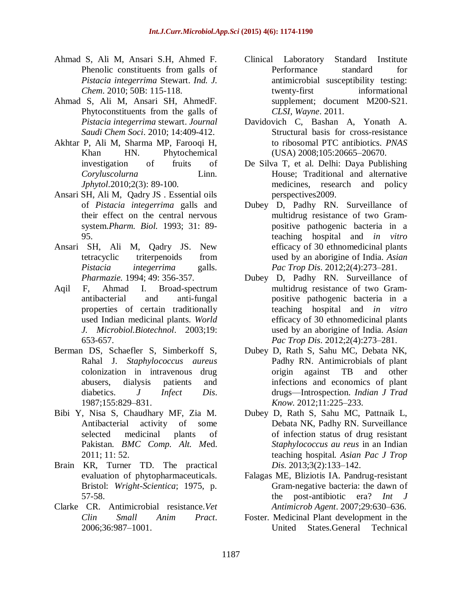- Ahmad S, Ali M, Ansari S.H, Ahmed F. Phenolic constituents from galls of *Pistacia integerrima* Stewart. *Ind. J. Chem*. 2010; 50B: 115-118.
- Ahmad S, Ali M, Ansari SH, AhmedF. Phytoconstituents from the galls of *Pistacia integerrima* stewart. *Journal Saudi Chem Soci*. 2010; 14:409-412.
- Akhtar P, Ali M, Sharma MP, Farooqi H, Khan HN. Phytochemical investigation of fruits of *Coryluscolurna* Linn. *Jphytol*.2010;2(3): 89-100.
- Ansari SH, Ali M, Qadry JS . Essential oils of *Pistacia integerrima* galls and their effect on the central nervous system.*Pharm. Biol.* 1993; 31: 89- 95.
- Ansari SH, Ali M, Qadry JS. New tetracyclic triterpenoids from *Pistacia integerrima* galls. *Pharmazie.* 1994; 49: 356-357.
- Aqil F, Ahmad I. Broad-spectrum antibacterial and anti-fungal properties of certain traditionally used Indian medicinal plants. *World J. Microbiol.Biotechnol*. 2003;19: 653-657.
- Berman DS, Schaefler S, Simberkoff S, Rahal J. *Staphylococcus aureus* colonization in intravenous drug abusers, dialysis patients and diabetics. *J Infect Dis*. 1987;155:829–831.
- Bibi Y, Nisa S, Chaudhary MF, Zia M. Antibacterial activity of some selected medicinal plants of Pakistan. *BMC Comp. Alt. M*ed. 2011; 11: 52.
- Brain KR, Turner TD. The practical evaluation of phytopharmaceuticals. Bristol: *Wright-Scientica*; 1975, p. 57-58.
- Clarke CR. Antimicrobial resistance.*Vet Clin Small Anim Pract*. 2006;36:987–1001.
- Clinical Laboratory Standard Institute Performance standard for antimicrobial susceptibility testing: twenty-first informational supplement; document M200-S21. *CLSI, Wayne*. 2011.
- Davidovich C, Bashan A, Yonath A. Structural basis for cross-resistance to ribosomal PTC antibiotics. *PNAS* (USA) 2008;105:20665–20670.
- De Silva T, et al. Delhi: Daya Publishing House; Traditional and alternative medicines, research and policy perspectives2009.
- Dubey D, Padhy RN. Surveillance of multidrug resistance of two Grampositive pathogenic bacteria in a teaching hospital and *in vitro* efficacy of 30 ethnomedicinal plants used by an aborigine of India. *Asian Pac Trop Dis*. 2012;2(4):273–281.
- Dubey D, Padhy RN. Surveillance of multidrug resistance of two Grampositive pathogenic bacteria in a teaching hospital and *in vitro* efficacy of 30 ethnomedicinal plants used by an aborigine of India. *Asian Pac Trop Dis*. 2012;2(4):273–281.
- Dubey D, Rath S, Sahu MC, Debata NK, Padhy RN. Antimicrobials of plant origin against TB and other infections and economics of plant drugs—Introspection. *Indian J Trad Know*. 2012;11:225–233.
- Dubey D, Rath S, Sahu MC, Pattnaik L, Debata NK, Padhy RN. Surveillance of infection status of drug resistant *Staphylococcus au reus* in an Indian teaching hospital. *Asian Pac J Trop Dis*. 2013;3(2):133–142.
- Falagas ME, Bliziotis IA. Pandrug-resistant Gram-negative bacteria: the dawn of the post-antibiotic era? *Int J Antimicrob Agent*. 2007;29:630–636.
- Foster. Medicinal Plant development in the United States.General Technical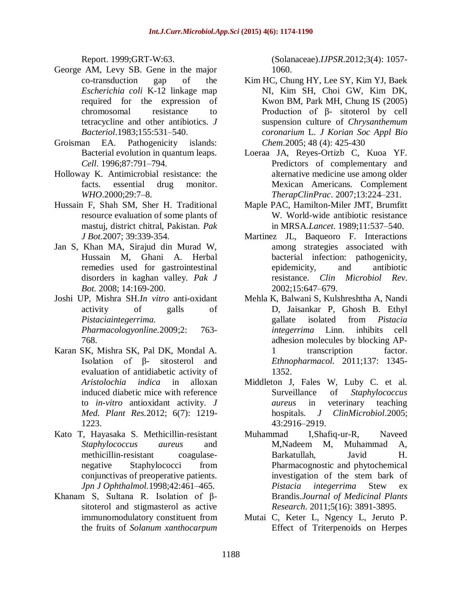Report. 1999;GRT-W:63.

- George AM, Levy SB. Gene in the major co-transduction gap of the *Escherichia coli* K-12 linkage map required for the expression of chromosomal resistance to tetracycline and other antibiotics. *J Bacteriol*.1983;155:531–540.
- Groisman EA. Pathogenicity islands: Bacterial evolution in quantum leaps. *Cell*. 1996;87:791–794.
- Holloway K. Antimicrobial resistance: the facts. essential drug monitor. *WHO*.2000;29:7–8.
- Hussain F, Shah SM, Sher H. Traditional resource evaluation of some plants of mastuj, district chitral, Pakistan. *Pak J Bot.*2007; 39:339-354.
- Jan S, Khan MA, Sirajud din Murad W, Hussain M, Ghani A. Herbal remedies used for gastrointestinal disorders in kaghan valley. *Pak J Bot.* 2008; 14:169-200.
- Joshi UP, Mishra SH.*In vitro* anti-oxidant activity of galls of *Pistaciaintegerrima. Pharmacologyonline.*2009;2: 763- 768.
- Karan SK, Mishra SK, Pal DK, Mondal A. Isolation of β- sitosterol and evaluation of antidiabetic activity of *Aristolochia indica* in alloxan induced diabetic mice with reference to *in-vitro* antioxidant activity. *J Med. Plant Res.*2012; 6(7): 1219- 1223.
- Kato T, Hayasaka S. Methicillin-resistant *Staphylococcus aureus* and methicillin-resistant coagulasenegative Staphylococci from conjunctivas of preoperative patients. *Jpn J Ophthalmol.*1998;42:461–465.
- Khanam S, Sultana R. Isolation of βsitoterol and stigmasterol as active immunomodulatory constituent from the fruits of *Solanum xanthocarpum*

(Solanaceae).*IJPSR*.2012;3(4): 1057- 1060.

- Kim HC, Chung HY, Lee SY, Kim YJ, Baek NI, Kim SH, Choi GW, Kim DK, Kwon BM, Park MH, Chung IS (2005) Production of β- sitoterol by cell suspension culture of *Chrysanthemum coronarium* L. *J Korian Soc Appl Bio Chem*.2005; 48 (4): 425-430
- Loeraa JA, Reyes-Ortizb C, Kuoa YF. Predictors of complementary and alternative medicine use among older Mexican Americans. Complement *TherapClinPrac*. 2007;13:224–231.
- Maple PAC, Hamilton-Miler JMT, Brumfitt W. World-wide antibiotic resistance in MRSA.*Lancet*. 1989;11:537–540.
- Martinez JL, Baqueoro F. Interactions among strategies associated with bacterial infection: pathogenicity, epidemicity, and antibiotic resistance. *Clin Microbiol Rev*. 2002;15:647–679.
- Mehla K, Balwani S, Kulshreshtha A, Nandi D, Jaisankar P, Ghosh B. Ethyl gallate isolated from *Pistacia integerrima* Linn. inhibits cell adhesion molecules by blocking AP-1 transcription factor. *Ethnopharmacol.* 2011;137: 1345- 1352.
- Middleton J, Fales W, Luby C. et al. Surveillance of *Staphylococcus aureus* in veterinary teaching hospitals. *J ClinMicrobiol*.2005; 43:2916–2919.
- Muhammad I,Shafiq-ur-R, Naveed M,Nadeem M, Muhammad A, Barkatullah, Javid H. Pharmacognostic and phytochemical investigation of the stem bark of *Pistacia integerrima* Stew ex Brandis.*Journal of Medicinal Plants Research*. 2011;5(16): 3891-3895.
- Mutai C, Keter L, Ngency L, Jeruto P. Effect of Triterpenoids on Herpes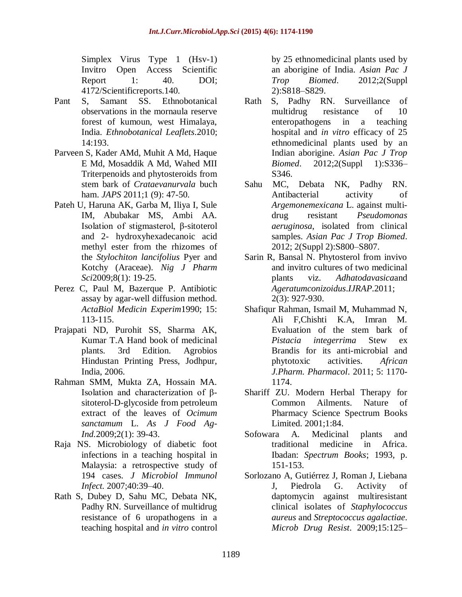Simplex Virus Type 1 (Hsv-1) Invitro Open Access Scientific Report 1: 40. DOI; 4172/Scientificreports.140.

- Pant S, Samant SS. Ethnobotanical observations in the mornaula reserve forest of kumoun, west Himalaya, India. *Ethnobotanical Leaflets*.2010; 14:193.
- Parveen S, Kader AMd, Muhit A Md, Haque E Md, Mosaddik A Md, Wahed MII Triterpenoids and phytosteroids from stem bark of *Crataevanurvala* buch ham. *JAPS* 2011;1 (9): 47-50.
- Pateh U, Haruna AK, Garba M, Iliya I, Sule IM, Abubakar MS, Ambi AA. Isolation of stigmasterol, β-sitoterol and 2- hydroxyhexadecanoic acid methyl ester from the rhizomes of the *Stylochiton lancifolius* Pyer and Kotchy (Araceae). *Nig J Pharm Sci*2009;8(1): 19-25.
- Perez C, Paul M, Bazerque P. Antibiotic assay by agar-well diffusion method. *ActaBiol Medicin Experim*1990; 15: 113-115.
- Prajapati ND, Purohit SS, Sharma AK, Kumar T.A Hand book of medicinal plants. 3rd Edition. Agrobios Hindustan Printing Press, Jodhpur, India, 2006.
- Rahman SMM, Mukta ZA, Hossain MA. Isolation and characterization of βsitoterol-D-glycoside from petroleum extract of the leaves of *Ocimum sanctamum* L. *As J Food Ag-Ind.*2009;2(1): 39-43.
- Raja NS. Microbiology of diabetic foot infections in a teaching hospital in Malaysia: a retrospective study of 194 cases. *J Microbiol Immunol Infect*. 2007;40:39–40.
- Rath S, Dubey D, Sahu MC, Debata NK, Padhy RN. Surveillance of multidrug resistance of 6 uropathogens in a teaching hospital and *in vitro* control

by 25 ethnomedicinal plants used by an aborigine of India. *Asian Pac J Trop Biomed*. 2012;2(Suppl 2):S818–S829.

- Rath S, Padhy RN. Surveillance of multidrug resistance of 10 enteropathogens in a teaching hospital and *in vitro* efficacy of 25 ethnomedicinal plants used by an Indian aborigine. *Asian Pac J Trop Biomed.* 2012;2(Suppl 1):S336-S346.
- Sahu MC, Debata NK, Padhy RN. Antibacterial activity of *Argemonemexicana* L. against multidrug resistant *Pseudomonas aeruginosa*, isolated from clinical samples. *Asian Pac J Trop Biomed*. 2012; 2(Suppl 2):S800–S807.
- Sarin R, Bansal N. Phytosterol from invivo and invitro cultures of two medicinal plants viz. *Adhatodavasica*and *Ageratumconizoidus*.*IJRAP*.2011; 2(3): 927-930.
- Shafiqur Rahman, Ismail M, Muhammad N, Ali F,Chishti K.A, Imran M. Evaluation of the stem bark of *Pistacia integerrima* Stew ex Brandis for its anti-microbial and phytotoxic activities. *African J.Pharm. Pharmacol*. 2011; 5: 1170- 1174.
- Shariff ZU. Modern Herbal Therapy for Common Ailments. Nature of Pharmacy Science Spectrum Books Limited. 2001;1:84.
- Sofowara A. Medicinal plants and traditional medicine in Africa. Ibadan: *Spectrum Books*; 1993, p. 151-153.
- Sorlozano A, Gutiérrez J, Roman J, Liebana J, Piedrola G. Activity of daptomycin against multiresistant clinical isolates of *Staphylococcus aureus* and *Streptococcus agalactiae*. *Microb Drug Resist*. 2009;15:125–